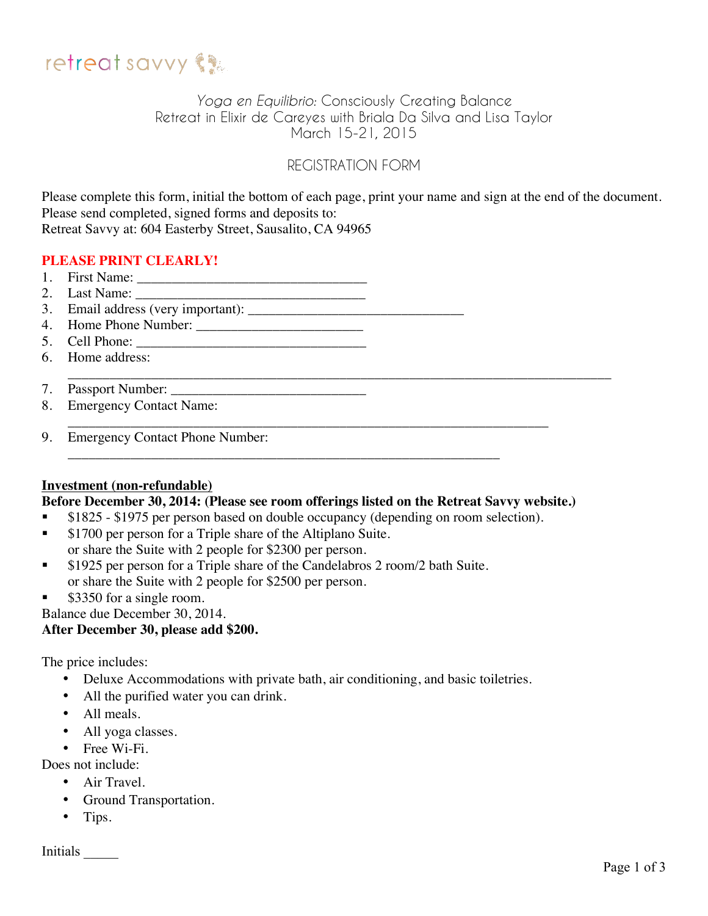

# *Yoga en Equilibrio:* Consciously Creating Balance Retreat in Elixir de Careyes with Briala Da Silva and Lisa Taylor March 15-21, 2015

# REGISTRATION FORM

Please complete this form, initial the bottom of each page, print your name and sign at the end of the document. Please send completed, signed forms and deposits to: Retreat Savvy at: 604 Easterby Street, Sausalito, CA 94965

\_\_\_\_\_\_\_\_\_\_\_\_\_\_\_\_\_\_\_\_\_\_\_\_\_\_\_\_\_\_\_\_\_\_\_\_\_\_\_\_\_\_\_\_\_\_\_\_\_\_\_\_\_\_\_\_\_\_\_\_\_\_\_\_\_\_\_\_\_\_\_\_\_\_\_\_\_\_

## **PLEASE PRINT CLEARLY!**

- 1. First Name: \_\_\_\_\_\_\_\_\_\_\_\_\_\_\_\_\_\_\_\_\_\_\_\_\_\_\_\_\_\_\_\_\_
- 2. Last Name: \_\_\_\_\_\_\_\_\_\_\_\_\_\_\_\_\_\_\_\_\_\_\_\_\_\_\_\_\_\_\_\_\_
- 3. Email address (very important):
- 4. Home Phone Number:
- 5. Cell Phone: \_\_\_\_\_\_\_\_\_\_\_\_\_\_\_\_\_\_\_\_\_\_\_\_\_\_\_\_\_\_\_\_\_
- 6. Home address:
- 7. Passport Number:
- 8. Emergency Contact Name:
- \_\_\_\_\_\_\_\_\_\_\_\_\_\_\_\_\_\_\_\_\_\_\_\_\_\_\_\_\_\_\_\_\_\_\_\_\_\_\_\_\_\_\_\_\_\_\_\_\_\_\_\_\_\_\_\_\_\_\_\_\_\_\_\_\_\_\_\_\_ 9. Emergency Contact Phone Number:

#### **Investment (non-refundable)**

#### **Before December 30, 2014: (Please see room offerings listed on the Retreat Savvy website.)**

**S1825** - \$1975 per person based on double occupancy (depending on room selection).

\_\_\_\_\_\_\_\_\_\_\_\_\_\_\_\_\_\_\_\_\_\_\_\_\_\_\_\_\_\_\_\_\_\_\_\_\_\_\_\_\_\_\_\_\_\_\_\_\_\_\_\_\_\_\_\_\_\_\_\_\_\_

- **S1700 per person for a Triple share of the Altiplano Suite.**
- or share the Suite with 2 people for \$2300 per person.
- **S** 1925 per person for a Triple share of the Candelabros 2 room/2 bath Suite. or share the Suite with 2 people for \$2500 per person.
- \$3350 for a single room.

Balance due December 30, 2014.

#### **After December 30, please add \$200.**

The price includes:

- Deluxe Accommodations with private bath, air conditioning, and basic toiletries.
- All the purified water you can drink.
- All meals.
- All yoga classes.
- Free Wi-Fi.

Does not include:

- Air Travel.
- Ground Transportation.
- Tips.

Initials \_\_\_\_\_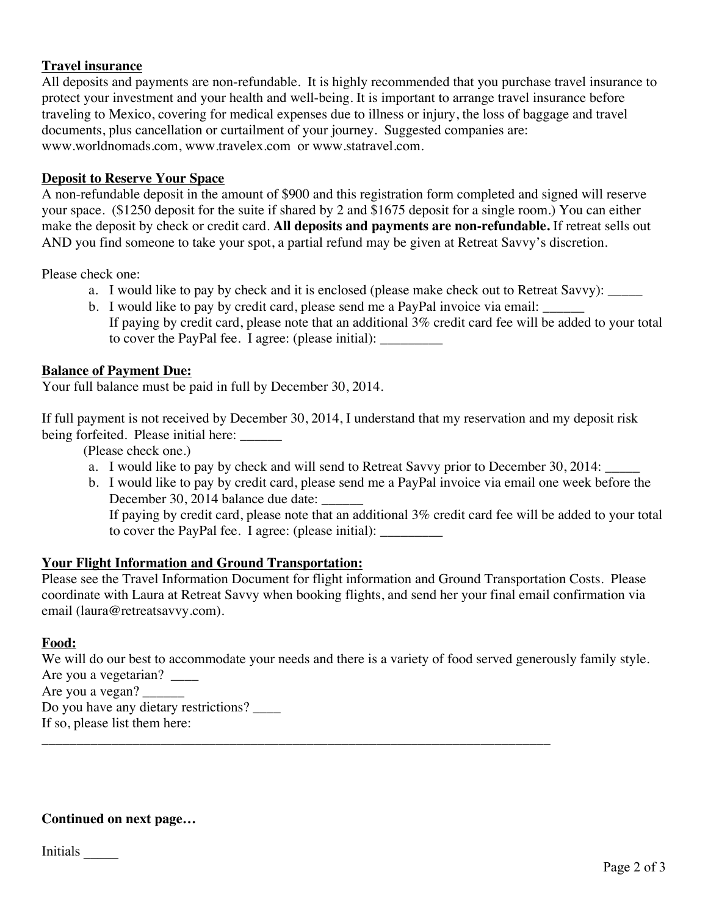### **Travel insurance**

All deposits and payments are non-refundable. It is highly recommended that you purchase travel insurance to protect your investment and your health and well-being. It is important to arrange travel insurance before traveling to Mexico, covering for medical expenses due to illness or injury, the loss of baggage and travel documents, plus cancellation or curtailment of your journey. Suggested companies are: www.worldnomads.com, www.travelex.com or www.statravel.com.

#### **Deposit to Reserve Your Space**

A non-refundable deposit in the amount of \$900 and this registration form completed and signed will reserve your space. (\$1250 deposit for the suite if shared by 2 and \$1675 deposit for a single room.) You can either make the deposit by check or credit card. **All deposits and payments are non-refundable.** If retreat sells out AND you find someone to take your spot, a partial refund may be given at Retreat Savvy's discretion.

Please check one:

- a. I would like to pay by check and it is enclosed (please make check out to Retreat Savvy): \_\_\_\_\_
- b. I would like to pay by credit card, please send me a PayPal invoice via email: If paying by credit card, please note that an additional 3% credit card fee will be added to your total to cover the PayPal fee. I agree: (please initial):

#### **Balance of Payment Due:**

Your full balance must be paid in full by December 30, 2014.

If full payment is not received by December 30, 2014, I understand that my reservation and my deposit risk being forfeited. Please initial here:

(Please check one.)

- a. I would like to pay by check and will send to Retreat Savvy prior to December 30, 2014:
- b. I would like to pay by credit card, please send me a PayPal invoice via email one week before the December 30, 2014 balance due date:

If paying by credit card, please note that an additional 3% credit card fee will be added to your total to cover the PayPal fee. I agree: (please initial): \_\_\_\_\_\_\_\_\_

#### **Your Flight Information and Ground Transportation:**

Please see the Travel Information Document for flight information and Ground Transportation Costs. Please coordinate with Laura at Retreat Savvy when booking flights, and send her your final email confirmation via email (laura@retreatsavvy.com).

#### **Food:**

We will do our best to accommodate your needs and there is a variety of food served generously family style. Are you a vegetarian? Are you a vegan? Do you have any dietary restrictions?

\_\_\_\_\_\_\_\_\_\_\_\_\_\_\_\_\_\_\_\_\_\_\_\_\_\_\_\_\_\_\_\_\_\_\_\_\_\_\_\_\_\_\_\_\_\_\_\_\_\_\_\_\_\_\_\_\_\_\_\_\_\_\_\_\_\_\_\_\_\_\_\_\_

If so, please list them here:

#### **Continued on next page…**

Initials \_\_\_\_\_